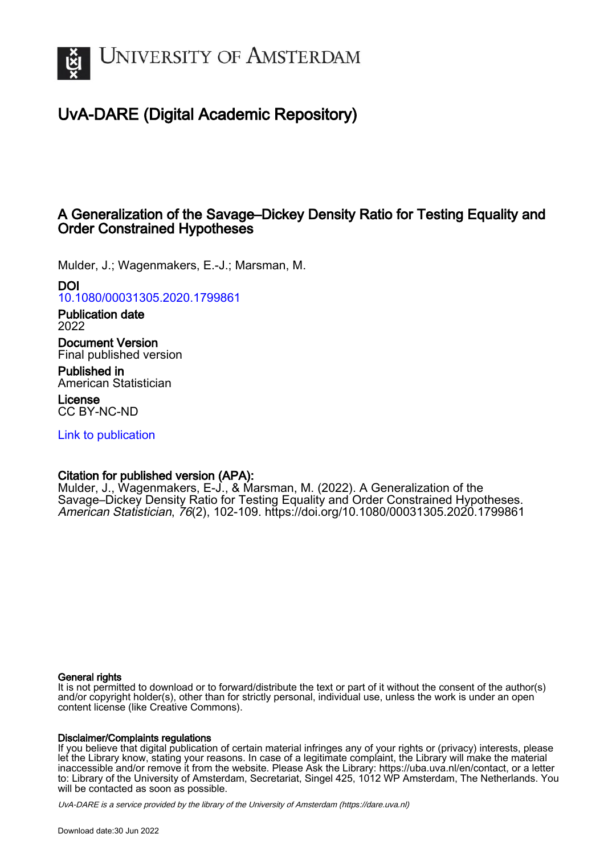

# UvA-DARE (Digital Academic Repository)

## A Generalization of the Savage–Dickey Density Ratio for Testing Equality and Order Constrained Hypotheses

Mulder, J.; Wagenmakers, E.-J.; Marsman, M.

## DOI

[10.1080/00031305.2020.1799861](https://doi.org/10.1080/00031305.2020.1799861)

Publication date 2022

Document Version Final published version

Published in American Statistician

License CC BY-NC-ND

[Link to publication](https://dare.uva.nl/personal/pure/en/publications/a-generalization-of-the-savagedickey-density-ratio-for-testing-equality-and-order-constrained-hypotheses(72b48898-a20b-4225-8563-48ceb94b6c60).html)

## Citation for published version (APA):

Mulder, J., Wagenmakers, E-J., & Marsman, M. (2022). A Generalization of the Savage–Dickey Density Ratio for Testing Equality and Order Constrained Hypotheses. American Statistician, 76(2), 102-109. <https://doi.org/10.1080/00031305.2020.1799861>

## General rights

It is not permitted to download or to forward/distribute the text or part of it without the consent of the author(s) and/or copyright holder(s), other than for strictly personal, individual use, unless the work is under an open content license (like Creative Commons).

## Disclaimer/Complaints regulations

If you believe that digital publication of certain material infringes any of your rights or (privacy) interests, please let the Library know, stating your reasons. In case of a legitimate complaint, the Library will make the material inaccessible and/or remove it from the website. Please Ask the Library: https://uba.uva.nl/en/contact, or a letter to: Library of the University of Amsterdam, Secretariat, Singel 425, 1012 WP Amsterdam, The Netherlands. You will be contacted as soon as possible.

UvA-DARE is a service provided by the library of the University of Amsterdam (http*s*://dare.uva.nl)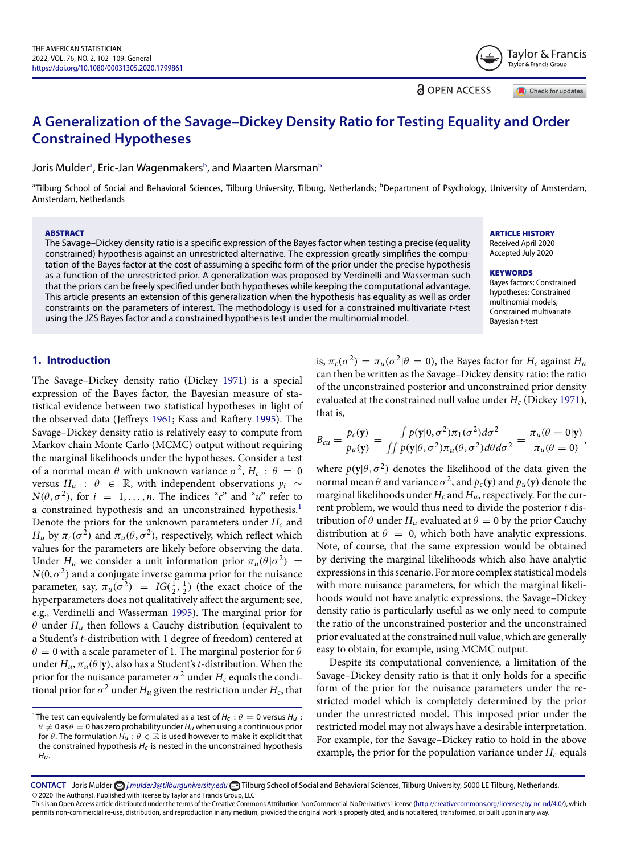Tavlor & Francis ر<br>Taylor & Francis Group

<span id="page-1-1"></span>**a** OPEN ACCESS

Check for updates

# <span id="page-1-3"></span>**A Generalization of the Savage–Dickey Density Ratio for Testing Equality and Order Constrained Hypotheses**

Joris Mulderª, Eric-Jan Wagenmakersʰ, and Maarten Marsmanʰ

<span id="page-1-0"></span><sup>a</sup>Tilburg School of Social and Behavioral Sciences, Tilburg University, Tilburg, Netherlands; <sup>b</sup>Department of Psychology, University of Amsterdam, Amsterdam, Netherlands

#### **ABSTRACT**

The Savage–Dickey density ratio is a specific expression of the Bayes factor when testing a precise (equality constrained) hypothesis against an unrestricted alternative. The expression greatly simplifies the computation of the Bayes factor at the cost of assuming a specific form of the prior under the precise hypothesis as a function of the unrestricted prior. A generalization was proposed by Verdinelli and Wasserman such that the priors can be freely specified under both hypotheses while keeping the computational advantage. This article presents an extension of this generalization when the hypothesis has equality as well as order constraints on the parameters of interest. The methodology is used for a constrained multivariate t-test using the JZS Bayes factor and a constrained hypothesis test under the multinomial model.

**ARTICLE HISTORY** Received April 2020

Accepted July 2020

#### **KEYWORDS**

Bayes factors; Constrained hypotheses; Constrained multinomial models; Constrained multivariate Bayesian t-test

## **1. Introduction**

The Savage–Dickey density ratio (Dickey [1971\)](#page-7-0) is a special expression of the Bayes factor, the Bayesian measure of statistical evidence between two statistical hypotheses in light of the observed data (Jeffreys [1961;](#page-7-1) Kass and Raftery [1995\)](#page-7-2). The Savage–Dickey density ratio is relatively easy to compute from Markov chain Monte Carlo (MCMC) output without requiring the marginal likelihoods under the hypotheses. Consider a test of a normal mean  $\theta$  with unknown variance  $\sigma^2$ ,  $H_c$ :  $\theta = 0$ versus *Hu* : *θ* ∈ R, with independent observations *yi* ∼  $N(\theta, \sigma^2)$ , for  $i = 1, \ldots, n$ . The indices "*c*" and "*u*" refer to a constrained hypothesis and an unconstrained hypothesis.<sup>1</sup> Denote the priors for the unknown parameters under  $H_c$  and *H<sub>u</sub>* by  $\pi_c(\sigma^2)$  and  $\pi_u(\theta, \sigma^2)$ , respectively, which reflect which values for the parameters are likely before observing the data. Under *H<sub>u</sub>* we consider a unit information prior  $\pi_u(\theta|\sigma^2)$  =  $N(0, \sigma^2)$  and a conjugate inverse gamma prior for the nuisance parameter, say,  $\pi_u(\sigma^2) = IG(\frac{1}{2}, \frac{1}{2})$  (the exact choice of the hyperparameters does not qualitatively affect the argument; see, e.g., Verdinelli and Wasserman [1995\)](#page-8-0). The marginal prior for *θ* under *Hu* then follows a Cauchy distribution (equivalent to a Student's *t*-distribution with 1 degree of freedom) centered at  $\theta = 0$  with a scale parameter of 1. The marginal posterior for  $\theta$ under  $H_u$ ,  $\pi_u(\theta|\mathbf{y})$ , also has a Student's *t*-distribution. When the prior for the nuisance parameter  $\sigma^2$  under  $H_c$  equals the conditional prior for  $\sigma^2$  under  $H_u$  given the restriction under  $H_c$ , that is,  $\pi_c(\sigma^2) = \pi_u(\sigma^2|\theta = 0)$ , the Bayes factor for  $H_c$  against  $H_u$ can then be written as the Savage–Dickey density ratio: the ratio of the unconstrained posterior and unconstrained prior density evaluated at the constrained null value under *H<sub>c</sub>* (Dickey [1971\)](#page-7-0), that is,

$$
B_{cu} = \frac{p_c(\mathbf{y})}{p_u(\mathbf{y})} = \frac{\int p(\mathbf{y}|0, \sigma^2) \pi_1(\sigma^2) d\sigma^2}{\int \int p(\mathbf{y}|\theta, \sigma^2) \pi_u(\theta, \sigma^2) d\theta d\sigma^2} = \frac{\pi_u(\theta = 0|\mathbf{y})}{\pi_u(\theta = 0)},
$$

where  $p(\mathbf{y}|\theta, \sigma^2)$  denotes the likelihood of the data given the normal mean *θ* and variance  $\sigma^2$ , and  $p_c$ (**y**) and  $p_u$ (**y**) denote the marginal likelihoods under  $H_c$  and  $H_u$ , respectively. For the current problem, we would thus need to divide the posterior *t* distribution of  $\theta$  under  $H_u$  evaluated at  $\theta = 0$  by the prior Cauchy distribution at  $\theta = 0$ , which both have analytic expressions. Note, of course, that the same expression would be obtained by deriving the marginal likelihoods which also have analytic expressions in this scenario. For more complex statistical models with more nuisance parameters, for which the marginal likelihoods would not have analytic expressions, the Savage–Dickey density ratio is particularly useful as we only need to compute the ratio of the unconstrained posterior and the unconstrained prior evaluated at the constrained null value, which are generally easy to obtain, for example, using MCMC output.

Despite its computational convenience, a limitation of the Savage–Dickey density ratio is that it only holds for a specific form of the prior for the nuisance parameters under the restricted model which is completely determined by the prior under the unrestricted model. This imposed prior under the restricted model may not always have a desirable interpretation. For example, for the Savage–Dickey ratio to hold in the above example, the prior for the population variance under  $H_c$  equals

<span id="page-1-2"></span><sup>&</sup>lt;sup>1</sup>The test can equivalently be formulated as a test of  $H_c$  :  $\theta = 0$  versus  $H_u$  :  $\theta \neq 0$  as  $\theta = 0$  has zero probability under  $H_u$  when using a continuous prior for  $\theta$ . The formulation  $H_u : \theta \in \mathbb{R}$  is used however to make it explicit that the constrained hypothesis  $H_c$  is nested in the unconstrained hypothesis Hu.

CONTACT Joris Mulder a *[j.mulder3@tilburguniversity.edu](mailto:j.mulder3@tilburguniversity.edu)* <sup>1</sup> Tilburg School of Social and Behavioral Sciences, Tilburg University, 5000 LE Tilburg, Netherlands. © 2020 The Author(s). Published with license by Taylor and Francis Group, LLC

This is an Open Access article distributed under the terms of the Creative Commons Attribution-NonCommercial-NoDerivatives License [\(http://creativecommons.org/licenses/by-nc-nd/4.0/\)](http://creativecommons.org/licenses/by-nc-nd/4.0/), which permits non-commercial re-use, distribution, and reproduction in any medium, provided the original work is properly cited, and is not altered, transformed, or built upon in any way.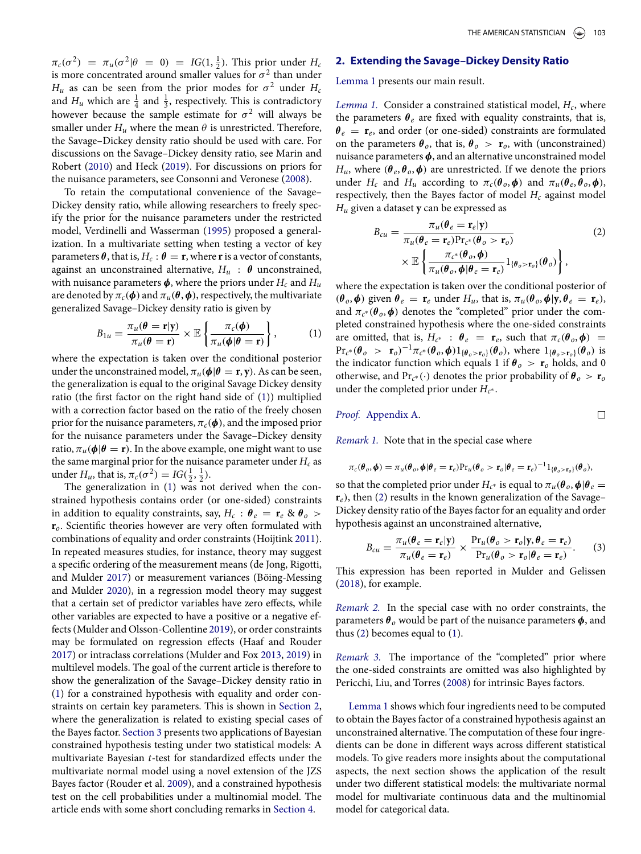<span id="page-2-5"></span>*π*<sub>*c*</sub>( $\sigma^2$ ) = *π*<sub>*u*</sub>( $\sigma^2$ |*θ* = 0) = *IG*(1,  $\frac{1}{2}$ ). This prior under *H<sub>c</sub>* is more concentrated around smaller values for  $\sigma^2$  than under  $H_u$  as can be seen from the prior modes for  $\sigma^2$  under  $H_c$ and  $H_u$  which are  $\frac{1}{4}$  and  $\frac{1}{3}$ , respectively. This is contradictory however because the sample estimate for  $\sigma^2$  will always be smaller under  $H_u$  where the mean  $\theta$  is unrestricted. Therefore, the Savage–Dickey density ratio should be used with care. For discussions on the Savage–Dickey density ratio, see Marin and Robert [\(2010\)](#page-8-1) and Heck [\(2019\)](#page-7-3). For discussions on priors for the nuisance parameters, see Consonni and Veronese [\(2008\)](#page-7-4).

To retain the computational convenience of the Savage– Dickey density ratio, while allowing researchers to freely specify the prior for the nuisance parameters under the restricted model, Verdinelli and Wasserman [\(1995\)](#page-8-0) proposed a generalization. In a multivariate setting when testing a vector of key parameters  $\theta$ , that is,  $H_c$ :  $\theta = \mathbf{r}$ , where **r** is a vector of constants, against an unconstrained alternative,  $H_u$  :  $\theta$  unconstrained, with nuisance parameters  $\phi$ , where the priors under  $H_c$  and  $H_u$ are denoted by  $\pi_c(\phi)$  and  $\pi_u(\theta, \phi)$ , respectively, the multivariate generalized Savage–Dickey density ratio is given by

<span id="page-2-0"></span>
$$
B_{1u} = \frac{\pi_u(\theta = \mathbf{r}|\mathbf{y})}{\pi_u(\theta = \mathbf{r})} \times \mathbb{E}\left\{\frac{\pi_c(\phi)}{\pi_u(\phi|\theta = \mathbf{r})}\right\},\qquad(1)
$$

where the expectation is taken over the conditional posterior under the unconstrained model,  $\pi_u(\phi|\theta = \mathbf{r}, \mathbf{y})$ . As can be seen, the generalization is equal to the original Savage Dickey density ratio (the first factor on the right hand side of [\(1\)](#page-2-0)) multiplied with a correction factor based on the ratio of the freely chosen prior for the nuisance parameters,  $\pi_c(\phi)$ , and the imposed prior for the nuisance parameters under the Savage–Dickey density ratio,  $\pi_u(\phi|\theta = r)$ . In the above example, one might want to use the same marginal prior for the nuisance parameter under  $H_c$  as under *H<sub>u</sub>*, that is,  $\pi_c(\sigma^2) = IG(\frac{1}{2}, \frac{1}{2})$ .

The generalization in [\(1\)](#page-2-0) was not derived when the constrained hypothesis contains order (or one-sided) constraints in addition to equality constraints, say,  $H_c$  :  $\theta_e = \mathbf{r}_e \otimes \theta_o >$ **r***o*. Scientific theories however are very often formulated with combinations of equality and order constraints (Hoijtink [2011\)](#page-7-5). In repeated measures studies, for instance, theory may suggest a specific ordering of the measurement means (de Jong, Rigotti, and Mulder [2017\)](#page-7-6) or measurement variances (Böing-Messing and Mulder [2020\)](#page-7-7), in a regression model theory may suggest that a certain set of predictor variables have zero effects, while other variables are expected to have a positive or a negative effects (Mulder and Olsson-Collentine [2019\)](#page-8-2), or order constraints may be formulated on regression effects (Haaf and Rouder [2017\)](#page-7-8) or intraclass correlations (Mulder and Fox [2013,](#page-8-3) [2019\)](#page-8-4) in multilevel models. The goal of the current article is therefore to show the generalization of the Savage–Dickey density ratio in [\(1\)](#page-2-0) for a constrained hypothesis with equality and order constraints on certain key parameters. This is shown in [Section 2,](#page-2-1) where the generalization is related to existing special cases of the Bayes factor. [Section 3](#page-3-0) presents two applications of Bayesian constrained hypothesis testing under two statistical models: A multivariate Bayesian *t*-test for standardized effects under the multivariate normal model using a novel extension of the JZS Bayes factor (Rouder et al. [2009\)](#page-8-5), and a constrained hypothesis test on the cell probabilities under a multinomial model. The article ends with some short concluding remarks in [Section 4.](#page-5-0)

## <span id="page-2-1"></span>**2. Extending the Savage–Dickey Density Ratio**

<span id="page-2-2"></span>[Lemma 1](#page-2-2) presents our main result.

*Lemma 1.* Consider a constrained statistical model, *Hc*, where the parameters  $\theta_e$  are fixed with equality constraints, that is,  $\theta_e = \mathbf{r}_e$ , and order (or one-sided) constraints are formulated on the parameters  $\theta_o$ , that is,  $\theta_o > \mathbf{r}_o$ , with (unconstrained) nuisance parameters *φ*, and an alternative unconstrained model *H<sub>u</sub>*, where  $(\theta_e, \theta_o, \phi)$  are unrestricted. If we denote the priors under *H<sub>c</sub>* and *H<sub>u</sub>* according to  $\pi_c(\theta_o, \phi)$  and  $\pi_u(\theta_e, \theta_o, \phi)$ , respectively, then the Bayes factor of model  $H_c$  against model *Hu* given a dataset **y** can be expressed as

$$
B_{cu} = \frac{\pi_u(\theta_e = \mathbf{r}_e|\mathbf{y})}{\pi_u(\theta_e = \mathbf{r}_e)\Pr_{c^*}(\theta_o > \mathbf{r}_o)}
$$
(2)  
\$\times \mathbb{E}\left\{\frac{\pi\_{c^\*}(\theta\_o, \phi)}{\pi\_u(\theta\_o, \phi|\theta\_e = \mathbf{r}\_e)}\mathbf{1}\_{\{\theta\_o > \mathbf{r}\_o\}}(\theta\_o)\right\},

where the expectation is taken over the conditional posterior of  $(\theta_o, \phi)$  given  $\theta_e = \mathbf{r}_e$  under  $H_u$ , that is,  $\pi_u(\theta_o, \phi | \mathbf{y}, \theta_e = \mathbf{r}_e)$ , and  $\pi_{c^*}(\theta_o, \phi)$  denotes the "completed" prior under the completed constrained hypothesis where the one-sided constraints are omitted, that is,  $H_{c^*}$  :  $\theta_e = \mathbf{r}_e$ , such that  $\pi_c(\theta_o, \phi) =$  $Pr_{c^*}(\theta_o > r_o)^{-1} \pi_{c^*}(\theta_o, \phi) 1_{\{\theta_o > r_o\}}(\theta_o)$ , where  $1_{\{\theta_o > r_o\}}(\theta_o)$  is the indicator function which equals 1 if  $\theta_o > r_o$  holds, and 0 otherwise, and  $Pr_{c^*}(\cdot)$  denotes the prior probability of  $\theta_o > r_o$ under the completed prior under  $H_{c^*}$ .

*Proof.* [Appendix A.](#page-5-1)

<span id="page-2-3"></span> $\Box$ 

*Remark 1.* Note that in the special case where

$$
\pi_c(\boldsymbol{\theta}_o, \boldsymbol{\phi}) = \pi_u(\boldsymbol{\theta}_o, \boldsymbol{\phi} | \boldsymbol{\theta}_e = \mathbf{r}_e) \Pr_u(\boldsymbol{\theta}_o > \mathbf{r}_o | \boldsymbol{\theta}_e = \mathbf{r}_e)^{-1} \mathbb{1}_{\{\boldsymbol{\theta}_o > \mathbf{r}_o\}}(\boldsymbol{\theta}_o),
$$

so that the completed prior under  $H_{c^*}$  is equal to  $\pi_u(\theta_o, \phi | \theta_e =$  $\mathbf{r}_e$ , then [\(2\)](#page-2-3) results in the known generalization of the Savage– Dickey density ratio of the Bayes factor for an equality and order hypothesis against an unconstrained alternative,

<span id="page-2-4"></span>
$$
B_{cu} = \frac{\pi_u(\theta_e = \mathbf{r}_e | \mathbf{y})}{\pi_u(\theta_e = \mathbf{r}_e)} \times \frac{\Pr_u(\theta_o > \mathbf{r}_o | \mathbf{y}, \theta_e = \mathbf{r}_e)}{\Pr_u(\theta_o > \mathbf{r}_o | \theta_e = \mathbf{r}_e)}.
$$
 (3)

This expression has been reported in Mulder and Gelissen [\(2018\)](#page-8-6), for example.

*Remark 2.* In the special case with no order constraints, the parameters *θ <sup>o</sup>* would be part of the nuisance parameters *φ*, and thus [\(2\)](#page-2-3) becomes equal to [\(1\)](#page-2-0).

*Remark 3.* The importance of the "completed" prior where the one-sided constraints are omitted was also highlighted by Pericchi, Liu, and Torres [\(2008\)](#page-8-7) for intrinsic Bayes factors.

[Lemma 1](#page-2-2) shows which four ingredients need to be computed to obtain the Bayes factor of a constrained hypothesis against an unconstrained alternative. The computation of these four ingredients can be done in different ways across different statistical models. To give readers more insights about the computational aspects, the next section shows the application of the result under two different statistical models: the multivariate normal model for multivariate continuous data and the multinomial model for categorical data.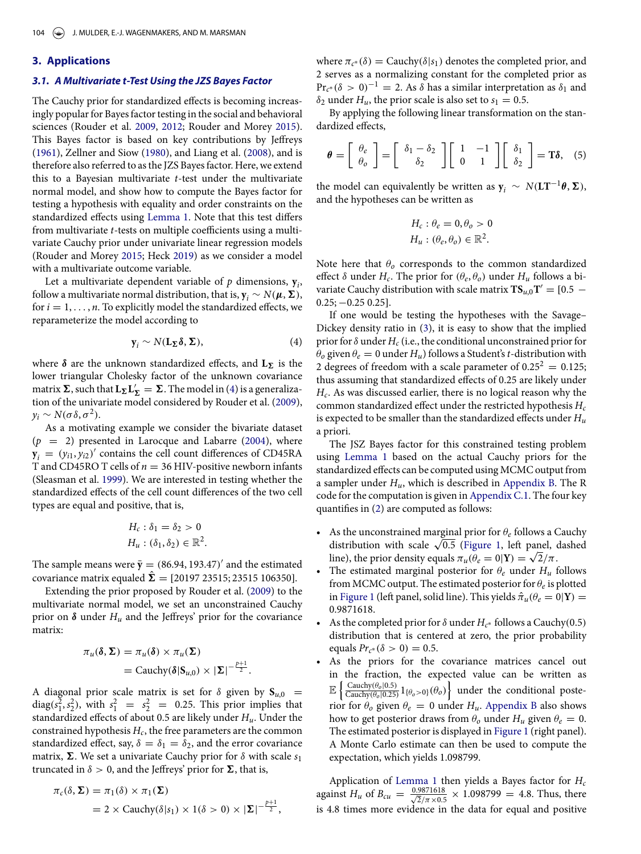#### <span id="page-3-3"></span><span id="page-3-2"></span><span id="page-3-0"></span>**3. Applications**

#### *3.1. A Multivariate t-Test Using the JZS Bayes Factor*

The Cauchy prior for standardized effects is becoming increasingly popular for Bayes factor testing in the social and behavioral sciences (Rouder et al. [2009,](#page-8-5) [2012;](#page-8-8) Rouder and Morey [2015\)](#page-8-9). This Bayes factor is based on key contributions by Jeffreys [\(1961\)](#page-7-1), Zellner and Siow [\(1980\)](#page-8-10), and Liang et al. [\(2008\)](#page-8-11), and is therefore also referred to as the JZS Bayes factor. Here, we extend this to a Bayesian multivariate *t*-test under the multivariate normal model, and show how to compute the Bayes factor for testing a hypothesis with equality and order constraints on the standardized effects using [Lemma 1.](#page-2-2) Note that this test differs from multivariate *t*-tests on multiple coefficients using a multivariate Cauchy prior under univariate linear regression models (Rouder and Morey [2015;](#page-8-9) Heck [2019\)](#page-7-3) as we consider a model with a multivariate outcome variable.

Let a multivariate dependent variable of  $p$  dimensions,  $y_i$ , follow a multivariate normal distribution, that is,  $\mathbf{y}_i \sim N(\boldsymbol{\mu}, \boldsymbol{\Sigma})$ , for  $i = 1, \ldots, n$ . To explicitly model the standardized effects, we reparameterize the model according to

<span id="page-3-1"></span>
$$
\mathbf{y}_i \sim N(\mathbf{L}_{\Sigma} \delta, \Sigma), \tag{4}
$$

where  $\delta$  are the unknown standardized effects, and  $L_{\Sigma}$  is the lower triangular Cholesky factor of the unknown covariance matrix  $\Sigma$ , such that  $L_{\Sigma}L_{\Sigma}' = \Sigma$ . The model in [\(4\)](#page-3-1) is a generalization of the univariate model considered by Rouder et al. [\(2009\)](#page-8-5),  $y_i \sim N(\sigma \delta, \sigma^2)$ .

As a motivating example we consider the bivariate dataset  $(p = 2)$  presented in Larocque and Labarre [\(2004\)](#page-8-12), where  $y_i = (y_{i1}, y_{i2})'$  contains the cell count differences of CD45RA T and CD45RO T cells of *n* = 36 HIV-positive newborn infants (Sleasman et al. [1999\)](#page-8-13). We are interested in testing whether the standardized effects of the cell count differences of the two cell types are equal and positive, that is,

$$
H_c: \delta_1 = \delta_2 > 0
$$
  

$$
H_u: (\delta_1, \delta_2) \in \mathbb{R}^2.
$$

The sample means were  $\bar{y} = (86.94, 193.47)$  and the estimated covariance matrix equaled  $\hat{\Sigma} = [20197 23515; 23515 106350]$ .

Extending the prior proposed by Rouder et al. [\(2009\)](#page-8-5) to the multivariate normal model, we set an unconstrained Cauchy prior on  $\delta$  under  $H_u$  and the Jeffreys' prior for the covariance matrix:

$$
\pi_u(\delta, \Sigma) = \pi_u(\delta) \times \pi_u(\Sigma)
$$
  
= Cauchy( $\delta | S_{u,0} \rangle \times |\Sigma|^{-\frac{p+1}{2}}$ .

A diagonal prior scale matrix is set for  $\delta$  given by  $S_{u,0}$  = diag( $s_1^2$ ,  $s_2^2$ ), with  $s_1^2 = s_2^2 = 0.25$ . This prior implies that standardized effects of about 0.5 are likely under *Hu*. Under the constrained hypothesis  $H_c$ , the free parameters are the common standardized effect, say,  $\delta = \delta_1 = \delta_2$ , and the error covariance matrix,  $\Sigma$ . We set a univariate Cauchy prior for  $\delta$  with scale  $s_1$ truncated in  $\delta > 0$ , and the Jeffreys' prior for  $\Sigma$ , that is,

$$
\pi_c(\delta, \Sigma) = \pi_1(\delta) \times \pi_1(\Sigma)
$$
  
= 2 \times Cauchy(\delta|s\_1) \times 1(\delta > 0) \times |\Sigma|^{-\frac{p+1}{2}},

where  $\pi_{c^*}(\delta) =$  Cauchy $(\delta | s_1)$  denotes the completed prior, and 2 serves as a normalizing constant for the completed prior as  $Pr_{c^*}(\delta > 0)^{-1} = 2$ . As  $\delta$  has a similar interpretation as  $\delta_1$  and  $\delta_2$  under *H<sub>u</sub>*, the prior scale is also set to  $s_1 = 0.5$ .

By applying the following linear transformation on the standardized effects,

$$
\boldsymbol{\theta} = \left[ \begin{array}{c} \theta_e \\ \theta_o \end{array} \right] = \left[ \begin{array}{c} \delta_1 - \delta_2 \\ \delta_2 \end{array} \right] \left[ \begin{array}{cc} 1 & -1 \\ 0 & 1 \end{array} \right] \left[ \begin{array}{c} \delta_1 \\ \delta_2 \end{array} \right] = \mathbf{T} \boldsymbol{\delta}, \quad (5)
$$

the model can equivalently be written as  $y_i \sim N(LT^{-1}\theta, \Sigma)$ , and the hypotheses can be written as

$$
H_c: \theta_e = 0, \theta_o > 0
$$
  

$$
H_u: (\theta_e, \theta_o) \in \mathbb{R}^2.
$$

Note here that  $\theta$ <sup>*o*</sup> corresponds to the common standardized effect *δ* under  $H_c$ . The prior for  $(θ_e, θ_o)$  under  $H_u$  follows a bivariate Cauchy distribution with scale matrix  $TS_{u,0}T' = [0.5 0.25$ ;  $-0.25$  0.25].

If one would be testing the hypotheses with the Savage– Dickey density ratio in [\(3\)](#page-2-4), it is easy to show that the implied prior for  $\delta$  under  $H_c$  (i.e., the conditional unconstrained prior for  $\theta$ <sup>*o*</sup> given  $\theta$ <sup>*e*</sup> = 0 under *H<sub>u</sub>*) follows a Student's *t*-distribution with 2 degrees of freedom with a scale parameter of  $0.25^2 = 0.125$ ; thus assuming that standardized effects of 0.25 are likely under *Hc*. As was discussed earlier, there is no logical reason why the common standardized effect under the restricted hypothesis *Hc* is expected to be smaller than the standardized effects under *Hu* a priori.

The JSZ Bayes factor for this constrained testing problem using [Lemma 1](#page-2-2) based on the actual Cauchy priors for the standardized effects can be computed using MCMC output from a sampler under *Hu*, which is described in [Appendix B.](#page-5-2) The R code for the computation is given in [Appendix C.1.](#page-5-3) The four key quantifies in [\(2\)](#page-2-3) are computed as follows:

- As the unconstrained marginal prior for  $\theta_e$  follows a Cauchy distribution with scale  $\sqrt{0.5}$  [\(Figure 1,](#page-4-0) left panel, dashed line), the prior density equals  $\pi_u(\theta_e = 0|\mathbf{Y}) = \sqrt{2}/\pi$ .
- The estimated marginal posterior for  $\theta_e$  under  $H_u$  follows from MCMC output. The estimated posterior for *θ<sup>e</sup>* is plotted in [Figure 1](#page-4-0) (left panel, solid line). This yields  $\hat{\pi}_{u}(\theta_{e} = 0|\mathbf{Y}) =$ 0.9871618.
- As the completed prior for *δ* under *Hc*<sup>∗</sup> follows a Cauchy*(*0.5*)* distribution that is centered at zero, the prior probability equals  $Pr_{c^*}(\delta > 0) = 0.5$ .
- As the priors for the covariance matrices cancel out in the fraction, the expected value can be written as  $\mathbb{E}\left\{\frac{\text{Cauchy}(\theta_o|0.5)}{\text{Cauchy}(\theta_o|0.25)}1_{\{\theta_o>0\}}(\theta_o)\right\}$  under the conditional posterior for  $\theta$ <sup>*o*</sup> given  $\theta$ <sup>*e*</sup> = 0 under *H<sub>u</sub>*. [Appendix B](#page-5-2) also shows how to get posterior draws from  $\theta$ <sup>*o*</sup> under  $H$ <sup>*u*</sup> given  $\theta$ <sup>*e*</sup> = 0. The estimated posterior is displayed in [Figure 1](#page-4-0) (right panel). A Monte Carlo estimate can then be used to compute the expectation, which yields 1.098799.

Application of [Lemma 1](#page-2-2) then yields a Bayes factor for *Hc* against *H<sub>u</sub>* of *B<sub>cu</sub>* =  $\frac{0.9871618}{\sqrt{2}/\pi \times 0.5} \times 1.098799 = 4.8$ . Thus, there is 4.8 times more evidence in the data for equal and positive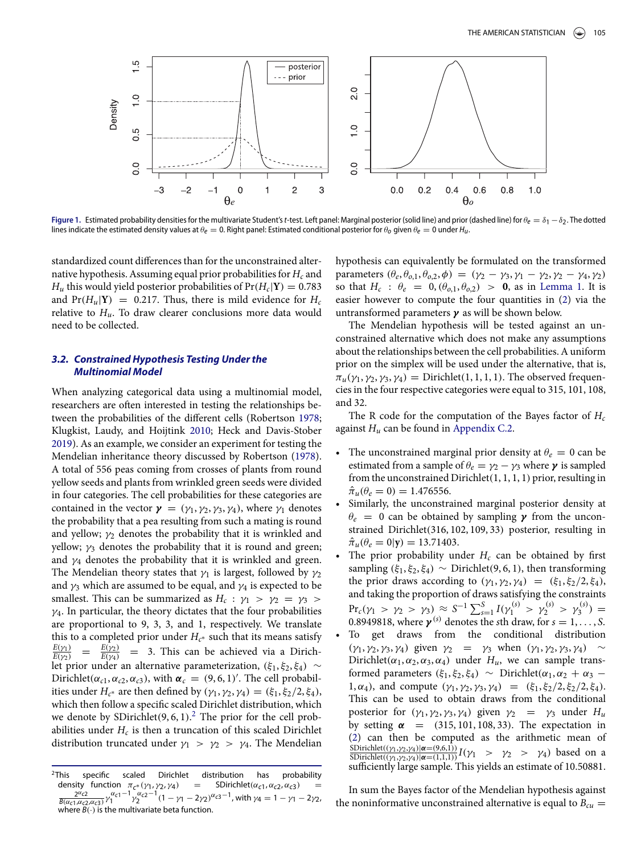<span id="page-4-3"></span><span id="page-4-0"></span>

**Figure 1.** Estimated probability densities for the multivariate Student'st-test. Left panel: Marginal posterior (solid line) and prior (dashed line) for *θ*<sup>e</sup> = *δ*<sup>1</sup> −*δ*2. The dotted lines indicate the estimated density values at  $\theta_e = 0$ . Right panel: Estimated conditional posterior for  $\theta_o$  given  $\theta_e = 0$  under  $H_u$ .

standardized count differences than for the unconstrained alternative hypothesis. Assuming equal prior probabilities for *Hc* and *H<sub>u</sub>* this would yield posterior probabilities of  $Pr(H_c|Y) = 0.783$ and  $Pr(H_u|Y) = 0.217$ . Thus, there is mild evidence for  $H_c$ relative to  $H_u$ . To draw clearer conclusions more data would need to be collected.

## <span id="page-4-2"></span>*3.2. Constrained Hypothesis Testing Under the Multinomial Model*

When analyzing categorical data using a multinomial model, researchers are often interested in testing the relationships between the probabilities of the different cells (Robertson [1978;](#page-8-14) Klugkist, Laudy, and Hoijtink [2010;](#page-7-9) Heck and Davis-Stober [2019\)](#page-7-10). As an example, we consider an experiment for testing the Mendelian inheritance theory discussed by Robertson [\(1978\)](#page-8-14). A total of 556 peas coming from crosses of plants from round yellow seeds and plants from wrinkled green seeds were divided in four categories. The cell probabilities for these categories are contained in the vector  $\gamma = (\gamma_1, \gamma_2, \gamma_3, \gamma_4)$ , where  $\gamma_1$  denotes the probability that a pea resulting from such a mating is round and yellow;  $\gamma_2$  denotes the probability that it is wrinkled and yellow;  $\gamma_3$  denotes the probability that it is round and green; and  $\gamma_4$  denotes the probability that it is wrinkled and green. The Mendelian theory states that  $\gamma_1$  is largest, followed by  $\gamma_2$ and  $\gamma_3$  which are assumed to be equal, and  $\gamma_4$  is expected to be smallest. This can be summarized as  $H_c$ :  $\gamma_1$  >  $\gamma_2$  =  $\gamma_3$  > *γ*4. In particular, the theory dictates that the four probabilities are proportional to 9, 3, 3, and 1, respectively. We translate this to a completed prior under  $H_{c^*}$  such that its means satisfy  $\frac{E(\gamma_1)}{E(\gamma_2)} = \frac{E(\gamma_2)}{E(\gamma_4)} = 3$ . This can be achieved via a Dirichlet prior under an alternative parameterization,  $(ξ_1, ξ_2, ξ_4) \sim$ Dirichlet( $\alpha_{c1}, \alpha_{c2}, \alpha_{c3}$ ), with  $\alpha_c = (9, 6, 1)'$ . The cell probabilities under  $H_{c^*}$  are then defined by  $(\gamma_1, \gamma_2, \gamma_4) = (\xi_1, \xi_2/2, \xi_4)$ , which then follow a specific scaled Dirichlet distribution, which we denote by SDirichlet(9, 6, 1).<sup>[2](#page-4-1)</sup> The prior for the cell probabilities under  $H_c$  is then a truncation of this scaled Dirichlet distribution truncated under  $\gamma_1 > \gamma_2 > \gamma_4$ . The Mendelian hypothesis can equivalently be formulated on the transformed  $\text{parameters } (\theta_e, \theta_{o,1}, \theta_{o,2}, \phi) = (\gamma_2 - \gamma_3, \gamma_1 - \gamma_2, \gamma_2 - \gamma_4, \gamma_2)$ so that  $H_c$ :  $\theta_e = 0$ ,  $(\theta_{0,1}, \theta_{0,2}) > 0$ , as in [Lemma 1.](#page-2-2) It is easier however to compute the four quantities in [\(2\)](#page-2-3) via the untransformed parameters *γ* as will be shown below.

The Mendelian hypothesis will be tested against an unconstrained alternative which does not make any assumptions about the relationships between the cell probabilities. A uniform prior on the simplex will be used under the alternative, that is,  $\pi_u(\gamma_1, \gamma_2, \gamma_3, \gamma_4) =$  Dirichlet $(1, 1, 1, 1)$ . The observed frequencies in the four respective categories were equal to 315, 101, 108, and 32.

The R code for the computation of the Bayes factor of *Hc* against  $H_u$  can be found in [Appendix C.2.](#page-7-11)

- The unconstrained marginal prior density at  $\theta_e = 0$  can be estimated from a sample of  $\theta_e = \gamma_2 - \gamma_3$  where  $\gamma$  is sampled from the unconstrained Dirichlet*(*1, 1, 1, 1*)* prior, resulting in  $\hat{\pi}_{\mu}(\theta_e=0) = 1.476556.$
- Similarly, the unconstrained marginal posterior density at  $\theta_e = 0$  can be obtained by sampling *γ* from the unconstrained Dirichlet*(*316, 102, 109, 33*)* posterior, resulting in  $\hat{\pi}_u(\theta_e = 0|\mathbf{y}) = 13.71403.$
- The prior probability under  $H_c$  can be obtained by first sampling  $(\xi_1, \xi_2, \xi_4) \sim$  Dirichlet $(9, 6, 1)$ , then transforming the prior draws according to  $(\gamma_1, \gamma_2, \gamma_4) = (\xi_1, \xi_2/2, \xi_4)$ , and taking the proportion of draws satisfying the constraints  $\Pr_c(\gamma_1 > \gamma_2 > \gamma_3) \approx S^{-1} \sum_{s=1}^S I(\gamma_1^{(s)} > \gamma_2^{(s)} > \gamma_3^{(s)}) =$ 0.8949818, where  $\gamma^{(s)}$  denotes the *s*th draw, for  $s = 1, \ldots, S$ .
- To get draws from the conditional distribution *(γ*<sub>1</sub>, *γ*<sub>2</sub>, *γ*<sub>3</sub>, *γ*<sub>4</sub>*)* given *γ*<sub>2</sub> = *γ*<sub>3</sub> when  $(γ_1, γ_2, γ_3, γ_4)$  ~ Dirichlet( $\alpha_1, \alpha_2, \alpha_3, \alpha_4$ ) under  $H_u$ , we can sample transformed parameters *(ξ*1, *ξ*2, *ξ*4*)* ∼ Dirichlet*(α*1, *α*<sup>2</sup> + *α*<sup>3</sup> − 1, *α*4*)*, and compute *(γ*1, *γ*2, *γ*3, *γ*4*)* = *(ξ*1, *ξ*2*/*2, *ξ*2*/*2, *ξ*4*)*. This can be used to obtain draws from the conditional posterior for  $(\gamma_1, \gamma_2, \gamma_3, \gamma_4)$  given  $\gamma_2 = \gamma_3$  under  $H_u$ by setting  $\alpha$  =  $(315, 101, 108, 33)$ . The expectation in [\(2\)](#page-2-3) can then be computed as the arithmetic mean of  $\frac{\text{SDirichlet}((\gamma_1, \gamma_2, \gamma_4)|\alpha = (9, 6, 1)}{\text{SDirichlet}((\gamma_1, \gamma_2, \gamma_4)|\alpha = (1, 1, 1))} I(\gamma_1 > \gamma_2 > \gamma_4)$  based on a sufficiently large sample. This yields an estimate of 10.50881.

In sum the Bayes factor of the Mendelian hypothesis against the noninformative unconstrained alternative is equal to  $B_{cu}$  =

<span id="page-4-1"></span><sup>&</sup>lt;sup>2</sup>This specific scaled Dirichlet distribution has probability density function  $\pi_{c^*}(\gamma_1, \gamma_2, \gamma_4)$  = SDirichlet $(\alpha_{c1}, \alpha_{c2}, \alpha_{c3})$  $\frac{2^{\alpha}c_2}{B(\alpha_{c1}, \alpha_{c2}, \alpha_{c3})} \gamma_1^{\alpha_{c1}-1} \gamma_2^{\alpha_{c2}-1} (1 - \gamma_1 - 2\gamma_2)^{\alpha_{c3}-1}$ , with  $\gamma_4 = 1 - \gamma_1 - 2\gamma_2$ , where  $B(\cdot)$  is the multivariate beta function.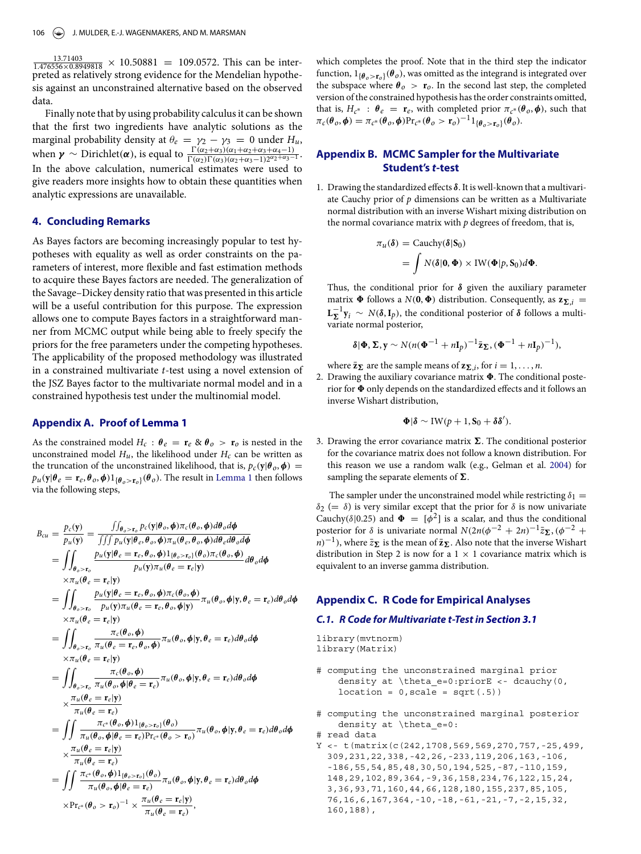<span id="page-5-4"></span> $\frac{13.71403}{1.476556 \times 0.8949818} \times 10.50881 = 109.0572$ . This can be interpreted as relatively strong evidence for the Mendelian hypothesis against an unconstrained alternative based on the observed data.

Finally note that by using probability calculus it can be shown that the first two ingredients have analytic solutions as the marginal probability density at  $\theta_e = \gamma_2 - \gamma_3 = 0$  under  $H_u$ , when  $\gamma \sim \text{Dirichlet}(\alpha)$ , is equal to  $\frac{\Gamma(\alpha_2 + \alpha_3)(\alpha_1 + \alpha_2 + \alpha_3 + \alpha_4 - 1)}{\Gamma(\alpha_2)\Gamma(\alpha_3)(\alpha_2 + \alpha_3 - 1)2^{\alpha_2 + \alpha_3 - 1}}$ . In the above calculation, numerical estimates were used to give readers more insights how to obtain these quantities when analytic expressions are unavailable.

### <span id="page-5-0"></span>**4. Concluding Remarks**

As Bayes factors are becoming increasingly popular to test hypotheses with equality as well as order constraints on the parameters of interest, more flexible and fast estimation methods to acquire these Bayes factors are needed. The generalization of the Savage–Dickey density ratio that was presented in this article will be a useful contribution for this purpose. The expression allows one to compute Bayes factors in a straightforward manner from MCMC output while being able to freely specify the priors for the free parameters under the competing hypotheses. The applicability of the proposed methodology was illustrated in a constrained multivariate *t*-test using a novel extension of the JSZ Bayes factor to the multivariate normal model and in a constrained hypothesis test under the multinomial model.

## <span id="page-5-1"></span>**Appendix A. Proof of [Lemma 1](#page-2-2)**

As the constrained model  $H_c$ :  $\theta_e = \mathbf{r}_e \otimes \theta_o > \mathbf{r}_o$  is nested in the unconstrained model  $H_u$ , the likelihood under  $H_c$  can be written as the truncation of the unconstrained likelihood, that is,  $p_c(y|\theta_o, \phi)$  =  $p_u(y|\theta_e = \mathbf{r}_e, \theta_o, \phi)1_{\{\theta_o > \mathbf{r}_o\}}(\theta_o)$ . The result in [Lemma 1](#page-2-2) then follows via the following steps,

$$
B_{cu} = \frac{p_c(\mathbf{y})}{p_u(\mathbf{y})} = \frac{\int \int_{\theta_o > \mathbf{r}_o} p_c(\mathbf{y}|\theta_o, \phi) \pi_c(\theta_o, \phi) d\theta_o d\phi}{\int \int \int p_u(\mathbf{y}|\theta_e, \theta_o, \phi) \pi_u(\theta_e, \theta_o, \phi) d\theta_e d\theta_o d\phi}
$$
  
\n
$$
= \int_{\theta_o > \mathbf{r}_o} \frac{p_u(\mathbf{y}|\theta_e = \mathbf{r}_e, \theta_o, \phi) \pi_u(\theta_e, \theta_o, \phi) d\theta_o d\theta_o d\phi}{p_u(\mathbf{y}) \pi_u(\theta_e = \mathbf{r}_e|\mathbf{y})}
$$
  
\n
$$
= \int_{\theta_o > \mathbf{r}_o} \frac{p_u(\mathbf{y}|\theta_e = \mathbf{r}_e, \theta_o, \phi) \pi_c(\theta_o, \phi)}{p_u(\mathbf{y}) \pi_u(\theta_e = \mathbf{r}_e, \theta_o, \phi|\mathbf{y})} \pi_u(\theta_o, \phi|\mathbf{y}, \theta_e = \mathbf{r}_e) d\theta_o d\phi
$$
  
\n
$$
\times \pi_u(\theta_e = \mathbf{r}_e|\mathbf{y})
$$
  
\n
$$
= \int_{\theta_o > \mathbf{r}_o} \frac{\pi_c(\theta_o, \phi)}{\pi_u(\theta_e = \mathbf{r}_e, \theta_o, \phi)} \pi_u(\theta_o, \phi|\mathbf{y}, \theta_e = \mathbf{r}_e) d\theta_o d\phi
$$
  
\n
$$
\times \pi_u(\theta_e = \mathbf{r}_e|\mathbf{y})
$$
  
\n
$$
= \int_{\theta_o > \mathbf{r}_o} \frac{\pi_c(\theta_o, \phi)}{\pi_u(\theta_o, \phi|\theta_e = \mathbf{r}_e)} \pi_u(\theta_o, \phi|\mathbf{y}, \theta_e = \mathbf{r}_e) d\theta_o d\phi
$$
  
\n
$$
\times \frac{\pi_u(\theta_e = \mathbf{r}_e|\mathbf{y})}{\pi_u(\theta_e = \mathbf{r}_e)}
$$
  
\n
$$
= \int_{\theta_o > \mathbf{r}_o} \frac{\pi_c(\theta_o, \phi) \mathbf{1}_{\{\theta_o > \mathbf{r}_o\}}(\theta_o)}{\pi_u(\theta_o, \
$$

which completes the proof. Note that in the third step the indicator function,  $1_{\{\theta_a > \mathbf{r}_a\}}(\theta_o)$ , was omitted as the integrand is integrated over the subspace where  $\theta_o > \mathbf{r}_o$ . In the second last step, the completed version of the constrained hypothesis has the order constraints omitted, that is,  $H_{c^*}$  :  $\theta_e = \mathbf{r}_e$ , with completed prior  $\pi_{c^*}(\theta_o, \phi)$ , such that  $\pi_c(\theta_o, \phi) = \pi_{c^*}(\theta_o, \phi) \Pr_{c^*}(\theta_o > r_o)^{-1} 1_{\{\theta_o > r_o\}}(\theta_o).$ 

## <span id="page-5-2"></span>**Appendix B. MCMC Sampler for the Multivariate Student's** *t***-test**

1. Drawing the standardized effects *δ*. It is well-known that a multivariate Cauchy prior of *p* dimensions can be written as a Multivariate normal distribution with an inverse Wishart mixing distribution on the normal covariance matrix with  $p$  degrees of freedom, that is,

$$
\pi_u(\delta) = \text{Cauchy}(\delta|S_0)
$$
  
=  $\int N(\delta|0, \Phi) \times \text{IW}(\Phi|p, S_0) d\Phi$ .

Thus, the conditional prior for *δ* given the auxiliary parameter matrix  $\Phi$  follows a *N*(0,  $\Phi$ ) distribution. Consequently, as  $z_{\Sigma,i}$  =  $\mathbf{L}_{\mathbf{\Sigma}}^{-1} \mathbf{y}_i \sim N(\delta, \mathbf{I}_p)$ , the conditional posterior of  $\delta$  follows a multivariate normal posterior,

$$
\delta|\Phi,\Sigma,y\sim N(n(\Phi^{-1}+nI_p)^{-1}\bar{\mathbf{z}}_{\Sigma},(\Phi^{-1}+nI_p)^{-1}),
$$

where  $\bar{z}_{\Sigma}$  are the sample means of  $z_{\Sigma,i}$ , for  $i = 1, \ldots, n$ .

2. Drawing the auxiliary covariance matrix  $\Phi$ . The conditional posterior for  $\Phi$  only depends on the standardized effects and it follows an inverse Wishart distribution,

$$
\Phi|\pmb{\delta} \sim \mathrm{IW}(p+1, S_0 + \delta \pmb{\delta}').
$$

3. Drawing the error covariance matrix  $\Sigma$ . The conditional posterior for the covariance matrix does not follow a known distribution. For this reason we use a random walk (e.g., Gelman et al. [2004\)](#page-7-12) for sampling the separate elements of  $\Sigma$ .

The sampler under the unconstrained model while restricting  $\delta_1$  = *δ*<sub>2</sub> (= *δ*) is very similar except that the prior for *δ* is now univariate Cauchy( $\delta$ |0.25) and  $\Phi = [\phi^2]$  is a scalar, and thus the conditional posterior for  $\delta$  is univariate normal  $N(2n(\phi^{-2} + 2n)^{-1}\bar{z}_{\Sigma}, (\phi^{-2} +$ *n* $)$ <sup>−1</sup>), where  $\bar{z}$  $\sum$  is the mean of  $\bar{z}$  $\sum$ . Also note that the inverse Wishart distribution in Step 2 is now for a  $1 \times 1$  covariance matrix which is equivalent to an inverse gamma distribution.

#### **Appendix C. R Code for Empirical Analyses**

#### <span id="page-5-3"></span>*C.1. R Code for Multivariate t-Test in [Section 3.1](#page-3-2)*

library(mvtnorm) library(Matrix)

- # computing the unconstrained marginal prior density at \theta\_e=0:priorE <- dcauchy(0,  $location = 0, scale = sqrt(.5))$
- # computing the unconstrained marginal posterior density at \theta\_e=0: # read data

 $Y \leftarrow t$  (matrix (c(242, 1708, 569, 569, 270, 757, -25, 499, 309,231,22,338,-42,26,-233,119,206,163,-106, -186,55,54,85,48,30,50,194,525,-87,-110,159, 148,29,102,89,364,-9,36,158,234,76,122,15,24, 3,36,93,71,160,44,66,128,180,155,237,85,105, 76,16,6,167,364,-10,-18,-61,-21,-7,-2,15,32, 160,188),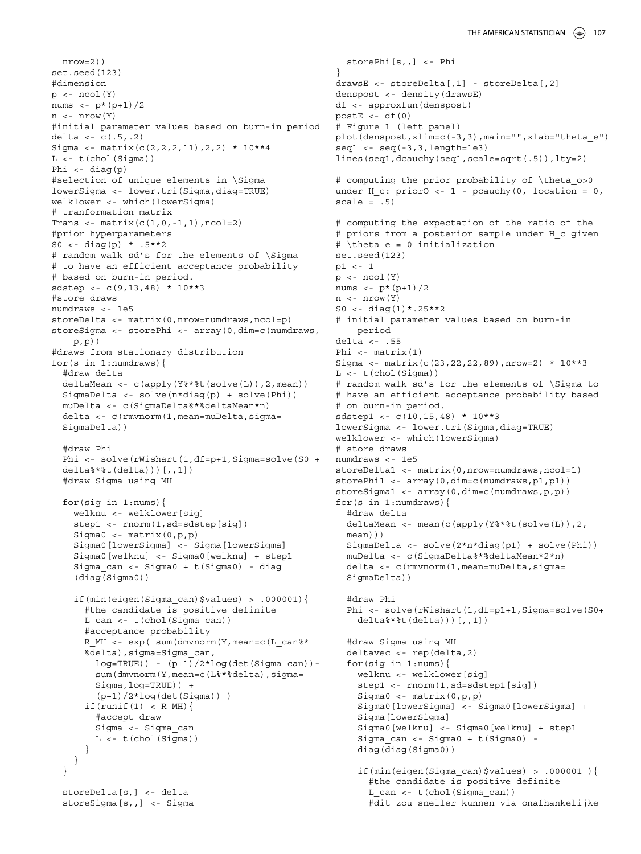nrow=2)) set.seed(123) #dimension  $p \leftarrow \text{ncol}(Y)$ nums  $\leftarrow$  p\*(p+1)/2  $n \le - nrow(Y)$ #initial parameter values based on burn-in period delta <- c(.5,.2) Sigma <- matrix(c(2,2,2,11),2,2) \* 10\*\*4  $L \leftarrow t$  (chol(Sigma)) Phi <- diag(p) #selection of unique elements in \Sigma lowerSigma <- lower.tri(Sigma,diag=TRUE) welklower <- which(lowerSigma) # tranformation matrix Trans <-  $matrix(c(1, 0, -1, 1), ncol=2)$ #prior hyperparameters S0 <- diag(p) \*  $.5***2$ # random walk sd's for the elements of \Sigma # to have an efficient acceptance probability # based on burn-in period. sdstep <- c(9,13,48) \* 10\*\*3 #store draws numdraws <- 1e5 storeDelta <- matrix(0,nrow=numdraws,ncol=p) storeSigma <- storePhi <- array(0,dim=c(numdraws,  $p, p)$ ) #draws from stationary distribution for(s in 1:numdraws){ #draw delta deltaMean <- c(apply(Y%\*%t(solve(L)),2,mean)) SigmaDelta <- solve(n\*diag(p) + solve(Phi)) muDelta <- c(SigmaDelta%\*%deltaMean\*n) delta <- c(rmvnorm(1,mean=muDelta,sigma= SigmaDelta)) #draw Phi Phi <- solve(rWishart(1,df=p+1,Sigma=solve(S0 + delta%\*%t(delta)))[,,1]) #draw Sigma using MH for(sig in 1:nums){ welknu <- welklower[sig] step1 <- rnorm(1,sd=sdstep[sig]) Sigma0 <- matrix(0,p,p) Sigma0[lowerSigma] <- Sigma[lowerSigma] Sigma0[welknu] <- Sigma0[welknu] + step1 Sigma\_can <- Sigma0 + t(Sigma0) - diag (diag(Sigma0)) if(min(eigen(Sigma\_can)\$values) > .000001){ #the candidate is positive definite L\_can <- t(chol(Sigma\_can)) #acceptance probability R MH <- exp( sum(dmvnorm(Y,mean=c(L can%\* %delta),sigma=Sigma\_can,  $log=TRUE)$ ) -  $(p+1)/2*log(det(Sigma can))$ sum(dmvnorm(Y,mean=c(L%\*%delta),sigma= Sigma,log=TRUE)) + (p+1)/2\*log(det(Sigma)) )  $if(runif(1) < R_MH)$ #accept draw Sigma <- Sigma\_can  $L < -t$  (chol(Sigma)) } } } storeDelta[s,] <- delta storeSigma[s,,] <- Sigma

```
storePhi[s,,] <- Phi
}
drawsE <- storeDelta[,1] - storeDelta[,2]
denspost <- density(drawsE)
df <- approxfun(denspost)
postE <-df(0)# Figure 1 (left panel)
plot(denspost,xlim=c(-3,3),main="",xlab="theta_e")
seq1 \leftarrow seq(-3, 3, length=1e3)lines(seq1,dcauchy(seq1,scale=sqrt(.5)),lty=2)
# computing the prior probability of \theta o>0
under H c: priorO <- 1 - pcauchy(0, location = 0,
scale = .5)
# computing the expectation of the ratio of the
# priors from a posterior sample under H_c given
# \theta_e = 0 initialization
set.seed(123)
p1 <- 1
p \leftarrow \text{ncol}(Y)nums \leftarrow p*(p+1)/2
n <- nrow(Y)
S0 <- diag(1)*.25**2
# initial parameter values based on burn-in
    period
delta <- .55
Phi <- matrix(1)
Sigma <- matrix(c(23,22,22,89),nrow=2) * 10**3
L \leftarrow t (chol(Sigma))
# random walk sd's for the elements of \Sigma to
# have an efficient acceptance probability based
# on burn-in period.
sdstep1 <- c(10,15,48) * 10**3
lowerSigma <- lower.tri(Sigma,diag=TRUE)
welklower <- which(lowerSigma)
# store draws
numdraws <- 1e5
storeDelta1 <- matrix(0,nrow=numdraws,ncol=1)
storePhi1 <- array(0,dim=c(numdraws,p1,p1))
storeSigma1 <- array(0,dim=c(numdraws,p,p))
for(s in 1:numdraws){
  #draw delta
  deltaMean <- mean(c(apply(Y%*%t(solve(L)),2,
  mean)))
  SigmaDelta <- solve(2*n*diag(p1) + solve(Phi))
  muDelta <- c(SigmaDelta%*%deltaMean*2*n)
  delta <- c(rmvnorm(1, mean=muDelta, sigma=
  SigmaDelta))
  #draw Phi
  Phi <- solve(rWishart(1,df=p1+1,Sigma=solve(S0+
    delta%*%t(delta)))[,,1])
  #draw Sigma using MH
  deltavec <- rep(delta,2)
  for(sig in 1:nums){
    welknu <- welklower[sig]
    step1 <- rnorm(1,sd=sdstep1[sig])
    Sigma0 <- matrix(0,p,p)
    Sigma0[lowerSigma] <- Sigma0[lowerSigma] +
    Sigma[lowerSigma]
    Sigma0[welknu] <- Sigma0[welknu] + step1
    Sigma_can <- Sigma0 + t(Sigma0) -
    diag(diag(Sigma0))
    if(min(eigen(Sigma_can)$values) > .000001 ){
      #the candidate is positive definite
      L can <- t(chol(Sigma_can))
      #dit zou sneller kunnen via onafhankelijke
```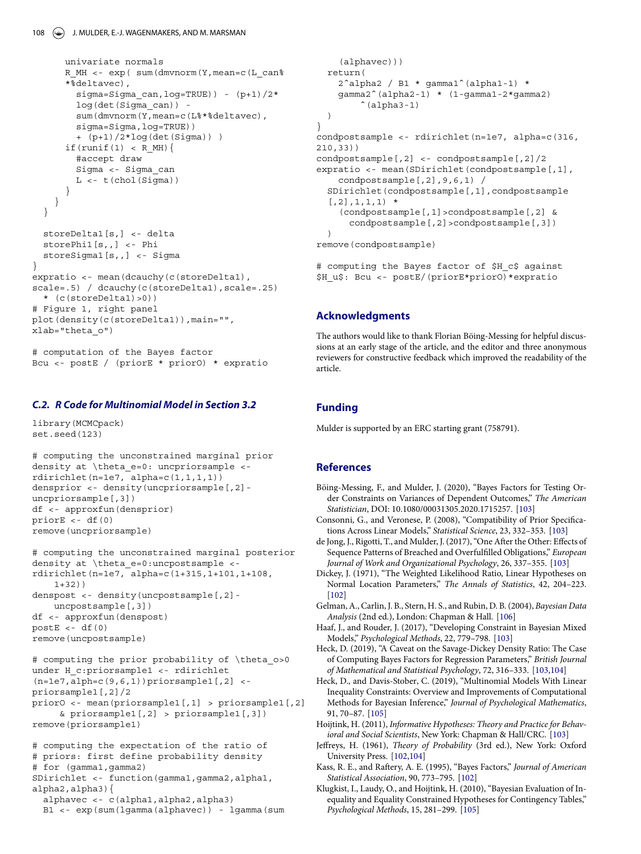```
univariate normals
      R MH <- exp( sum(dmvnorm(Y,mean=c(L can%
      *%deltavec),
        sigma=Sigma can, log=TRUE) - (p+1)/2*log(det(Sigma_can)) -
        sum(dmvnorm(Y,mean=c(L%*%deltavec),
        sigma=Sigma,log=TRUE))
        + (p+1)/2*log(det(Sigma)) )
      if(runif(1) < R MH){
        #accept draw
        Sigma <- Sigma_can
        L \leftarrow t \left( \text{chol}(Sigma) \right)}
    }
  }
  storeDelta1[s,] <- delta
  storePhi1[s,,] <- Phi
  storeSigma1[s,,] <- Sigma
}
expratio <- mean(dcauchy(c(storeDelta1),
scale=.5) / dcauchy(c(storeDelta1), scale=.25)
  * (c(storeDelta1)>0))
# Figure 1, right panel
plot(density(c(storeDelta1)), main="",
xlab="theta_o")
```

```
# computation of the Bayes factor
Bcu <- postE / (priorE * priorO) * expratio
```
## <span id="page-7-11"></span>*C.2. R Code for Multinomial Model in [Section 3.2](#page-4-2)*

library(MCMCpack) set.seed(123)

```
# computing the unconstrained marginal prior
density at \theta e=0: uncpriorsample <-
rdirichlet(n=1e7, alpha=c(1,1,1,1))densprior <- density(uncpriorsample[,2]-
uncpriorsample[,3])
df <- approxfun(densprior)
priorE \le -df(0)remove(uncpriorsample)
```

```
# computing the unconstrained marginal posterior
density at \theta e=0:uncpostsample <-
rdirichlet(n=1e7, alpha=c(1+315,1+101,1+108,
    1+32)denspost <- density(uncpostsample[,2]-
   uncpostsample[,3])
df <- approxfun(denspost)
postE < - df(0)remove(uncpostsample)
```

```
# computing the prior probability of \theta_o>0
under H c:priorsample1 <- rdirichlet
(n=1e7,alph=c(9,6,1))priorsample1[,2] <-
priorsample1[,2]/2
priorO <- mean(priorsample1[,1] > priorsample1[,2]
     & priorsample1[,2] > priorsample1[,3])
remove(priorsample1)
```

```
# computing the expectation of the ratio of
# priors: first define probability density
# for (gamma1,gamma2)
SDirichlet <- function(gamma1,gamma2,alpha1,
```

```
alpha2,alpha3){
  alphavec <- c(alpha1,alpha2,alpha3)
```

```
B1 <- exp(sum(lgamma(alphavec)) - lgamma(sum
```

```
(alphavec)))
  return(
    2ˆalpha2 / B1 * gamma1ˆ(alpha1-1) *
    gamma2ˆ(alpha2-1) * (1-gamma1-2*gamma2)
        ^{\circ} (alpha3-1)
 )
}
condpostsample <- rdirichlet(n=1e7, alpha=c(316,
210,33))
condpostsample[,2] <- condpostsample[,2]/2
expratio <- mean(SDirichlet(condpostsample[,1],
    condpostsample[,2],9,6,1) /
  SDirichlet(condpostsample[,1],condpostsample
  [0.2], 1, 1, 1) *
    (condpostsample[,1]>condpostsample[,2] &
      condpostsample[,2]>condpostsample[,3])
  \rightarrowremove(condpostsample)
```
# computing the Bayes factor of \$H\_c\$ against \$H\_u\$: Bcu <- postE/(priorE\*priorO)\*expratio

#### **Acknowledgments**

The authors would like to thank Florian Böing-Messing for helpful discussions at an early stage of the article, and the editor and three anonymous reviewers for constructive feedback which improved the readability of the article.

### **Funding**

Mulder is supported by an ERC starting grant (758791).

#### **References**

- <span id="page-7-7"></span>Böing-Messing, F., and Mulder, J. (2020), "Bayes Factors for Testing Order Constraints on Variances of Dependent Outcomes," *The American Statistician*, DOI: 10.1080/00031305.2020.1715257. [\[103\]](#page-2-5)
- <span id="page-7-4"></span>Consonni, G., and Veronese, P. (2008), "Compatibility of Prior Specifications Across Linear Models," *Statistical Science*, 23, 332–353. [\[103\]](#page-2-5)
- <span id="page-7-6"></span>de Jong, J., Rigotti, T., and Mulder, J. (2017), "One After the Other: Effects of Sequence Patterns of Breached and Overfulfilled Obligations," *European Journal of Work and Organizational Psychology*, 26, 337–355. [\[103\]](#page-2-5)
- <span id="page-7-0"></span>Dickey, J. (1971), "The Weighted Likelihood Ratio, Linear Hypotheses on Normal Location Parameters," *The Annals of Statistics*, 42, 204–223. [\[102\]](#page-1-3)
- <span id="page-7-12"></span>Gelman, A., Carlin, J. B., Stern, H. S., and Rubin, D. B. (2004), *Bayesian Data Analysis* (2nd ed.), London: Chapman & Hall. [\[106\]](#page-5-4)
- <span id="page-7-8"></span>Haaf, J., and Rouder, J. (2017), "Developing Constraint in Bayesian Mixed Models," *Psychological Methods*, 22, 779–798. [\[103\]](#page-2-5)
- <span id="page-7-3"></span>Heck, D. (2019), "A Caveat on the Savage-Dickey Density Ratio: The Case of Computing Bayes Factors for Regression Parameters," *British Journal of Mathematical and Statistical Psychology*, 72, 316–333. [\[103,](#page-2-5)[104\]](#page-3-3)
- <span id="page-7-10"></span>Heck, D., and Davis-Stober, C. (2019), "Multinomial Models With Linear Inequality Constraints: Overview and Improvements of Computational Methods for Bayesian Inference," *Journal of Psychological Mathematics*, 91, 70–87. [\[105\]](#page-4-3)
- <span id="page-7-5"></span>Hoijtink, H. (2011), *Informative Hypotheses: Theory and Practice for Behavioral and Social Scientists*, New York: Chapman & Hall/CRC. [\[103\]](#page-2-5)
- <span id="page-7-1"></span>Jeffreys, H. (1961), *Theory of Probability* (3rd ed.), New York: Oxford University Press. [\[102,](#page-1-3)[104\]](#page-3-3)
- <span id="page-7-2"></span>Kass, R. E., and Raftery, A. E. (1995), "Bayes Factors," *Journal of American Statistical Association*, 90, 773–795. [\[102\]](#page-1-3)
- <span id="page-7-9"></span>Klugkist, I., Laudy, O., and Hoijtink, H. (2010), "Bayesian Evaluation of Inequality and Equality Constrained Hypotheses for Contingency Tables," *Psychological Methods*, 15, 281–299. [\[105\]](#page-4-3)